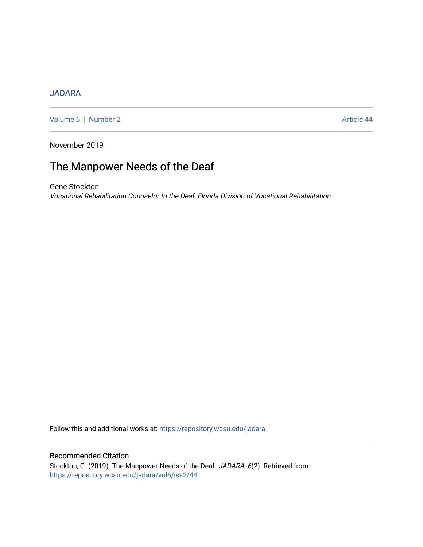## [JADARA](https://repository.wcsu.edu/jadara)

[Volume 6](https://repository.wcsu.edu/jadara/vol6) | [Number 2](https://repository.wcsu.edu/jadara/vol6/iss2) Article 44

November 2019

# The Manpower Needs of the Deaf

Gene Stockton Vocational Rehabilitation Counselor to the Deaf, Florida Division of Vocational Rehabilitation

Follow this and additional works at: [https://repository.wcsu.edu/jadara](https://repository.wcsu.edu/jadara?utm_source=repository.wcsu.edu%2Fjadara%2Fvol6%2Fiss2%2F44&utm_medium=PDF&utm_campaign=PDFCoverPages)

### Recommended Citation

Stockton, G. (2019). The Manpower Needs of the Deaf. JADARA, 6(2). Retrieved from [https://repository.wcsu.edu/jadara/vol6/iss2/44](https://repository.wcsu.edu/jadara/vol6/iss2/44?utm_source=repository.wcsu.edu%2Fjadara%2Fvol6%2Fiss2%2F44&utm_medium=PDF&utm_campaign=PDFCoverPages)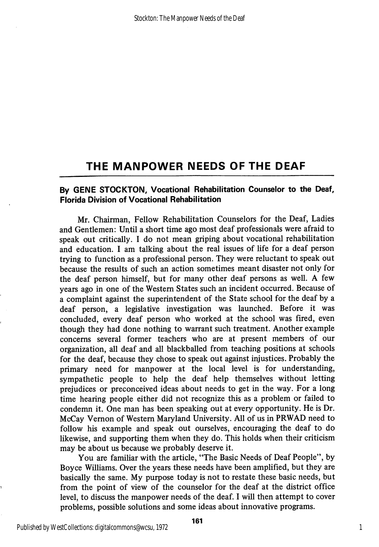# THE MANPOWER NEEDS OF THE DEAF

### By GENE STOCKTON, Vocational Rehabilitation Counselor to the Deaf, Florida Division of Vocational Rehabilitation

Mr. Chairman, Fellow Rehabilitation Counselors for the Deaf, Ladies and Gentlemen: Until a short time ago most deaf professionals were afraid to speak out critically. I do not mean griping about vocational rehabilitation and education. I am talking about the real issues of life for a deaf person trying to function as a professional person. They were reluctant to speak out because the results of such an action sometimes meant disaster not only for the deaf person himself, but for many other deaf persons as well. A few years ago in one of the Western States such an incident occurred. Because of a complaint against the superintendent of the State school for the deaf by a deaf person, a legislative investigation was launched. Before it was concluded, every deaf person who worked at the school was fired, even though they had done nothing to warrant such treatment. Another example concerns several former teachers who are at present members of our organization, all deaf and all blackballed from teaching positions at schools for the deaf, because they chose to speak out against injustices. Probably the primary need for manpower at the local level is for understanding, sympathetic people to help the deaf help themselves without letting prejudices or preconceived ideas about needs to get in the way. For a long time hearing people either did not recognize this as a problem or failed to condemn it. One man has been speaking out at every opportunity. He is Dr. McCay Yemon of Western Maryland University. All of us in PRWAD need to follow his example and speak out ourselves, encouraging the deaf to do likewise, and supporting them when they do. This holds when their criticism may be about us because we probably deserve it.

You are familiar with the article, "The Basic Needs of Deaf People", by Boyce Williams. Over the years these needs have been amplified, but they are basically the same. My purpose today is not to restate these basic needs, but from the point of view of the counselor for the deaf at the district office level, to discuss the manpower needs of the deaf. I will then attempt to cover problems, possible solutions and some ideas about innovative programs.

1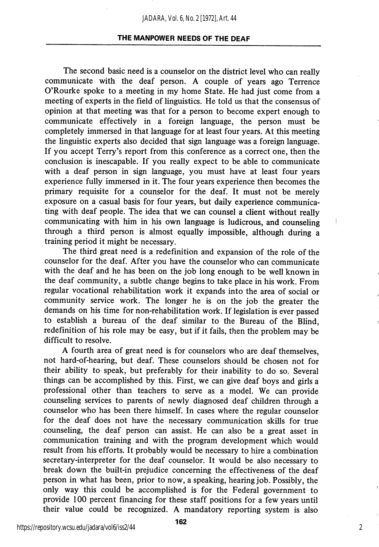### THE MANPOWER NEEDS OF THE DEAF

The second basic need is a counselor on the district level who can really communicate with the deaf person. A couple of years ago Terrence O'Rourke spoke to a meeting in my home State. He had just come from a meeting of experts in the field of linguistics. He told us that the consensus of opinion at that meeting was that for a person to become expert enough to communicate effectively in a foreign language, the person must be completely immersed in that language for at least four years. At this meeting the linguistic experts also decided that sign language was a foreign language. If you accept Terry's report from this conference as a correct one, then the conclusion is inescapable. If you really expect to be able to communicate with a deaf person in sign language, you must have at least four years experience fully immersed in it. The four years experience then becomes the primary requisite for a counselor for the deaf. It must not be merely exposure on a casual basis for four years, but daily experience communica ting with deaf people. The idea that we can counsel a client without really communicating with him in his own language is ludicrous, and counseling through a third person is almost equally impossible, although during a training period it might be necessary.

The third great need is a redefinition and expansion of the role of the counselor for the deaf. After you have the counselor who can communicate with the deaf and he has been on the job long enough to be well known in the deaf community, a subtle change begins to take place in his work. From regular vocational rehabilitation work it expands into the area of social or community service work. The longer he is on the job the greater the demands on his time for non-rehabilitation work. If legislation is ever passed to establish a bureau of the deaf similar to the Bureau of the Blind, redefinition of his role may be easy, but if it fails, then the problem may be difficult to resolve.

A fourth area of great need is for counselors who are deaf themselves, not hard-of-hearing, but deaf. These counselors should be chosen not for their ability to speak, but preferably for their inability to do so. Several things can be accomplished by this. First, we can give deaf boys and girls a professional other than teachers to serve as a model. We can provide counseling services to parents of newly diagnosed deaf children through a counselor who has been there himself. In cases where the regular counselor for the deaf does not have the necessary communication skills for true counseling, the deaf person can assist. He can also be a great asset in communication training and with the program development which would result from his efforts. It probably would be necessary to hire a combination secretary-interpreter for the deaf counselor. It would be also necessary to break down the built-in prejudice concerning the effectiveness of the deaf person in what has been, prior to now, a speaking, hearing job. Possibly, the only way this could be accomplished is for the Federal government to provide 100 percent financing for these staff positions for a few years until their value could be recognized. A mandatory reporting system is also

2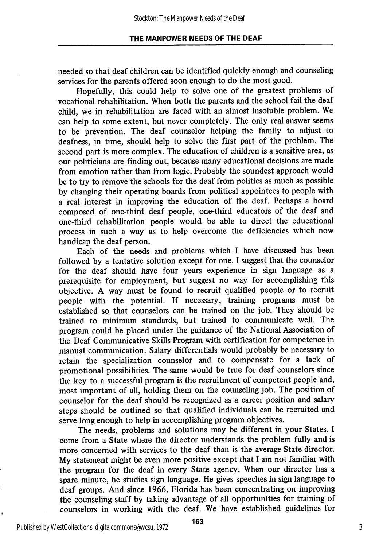needed so that deaf children can be identified quickly enough and counseling services for the parents offered soon enough to do the most good.

Hopefully, this could help to solve one of the greatest problems of vocational rehabilitation. When both the parents and the school fail the deaf child, we in rehabilitation are faced with an almost insoluble problem. We can help to some extent, but never completely. The only real answer seems to be prevention. The deaf counselor helping the family to adjust to deafness, in time, should help to solve the first part of the problem. The second part is more complex. The education of children is a sensitive area, as our politicians are finding out, because many educational decisions are made from emotion rather than from logic. Probably the soundest approach would be to try to remove the schools for the deaf from politics as much as possible by changing their operating boards from political appointees to people with a real interest in improving the education of the deaf. Perhaps a board composed of one-third deaf people, one-third educators of the deaf and one-third rehabilitation people would be able to direct the educational process in such a way as to help overcome the deficiencies which now handicap the deaf person.

Each of the needs and problems which I have discussed has been followed by a tentative solution except for one. I suggest that the counselor for the deaf should have four years experience in sign language as a prerequisite for employment, but suggest no way for accomplishing this objective. A way must be found to recruit qualified people or to recruit people with the potential. If necessary, training programs must be established so that counselors can be trained on the job. They should be trained to minimum standards, but trained to communicate well. The program could be placed under the guidance of the National Association of the Deaf Communicative Skills Program with certification for competence in manual communication. Salary differentials would probably be necessary to retain the specialization counselor and to compensate for a lack of promotional possibilities. The same would be true for deaf counselors since the key to a successful program is the recruitment of competent people and, most important of all, holding them on the counseling job. The position of counselor for the deaf should be recognized as a career position and salary steps should be outlined so that qualified individuals can be recruited and serve long enough to help in accomplishing program objectives.

The needs, problems and solutions may be different in your States. I come from a State where the director understands the problem fully and is more concerned with services to the deaf than is the average State director. My statement might be even more positive except that I am not familiar with the program for the deaf in every State agency. When our director has a spare minute, he studies sign language. He gives speeches in sign language to deaf groups. And since 1966, Florida has been concentrating on improving the counseling staff by taking advantage of all opportunities for training of counselors in working with the deaf. We have established guidelines for